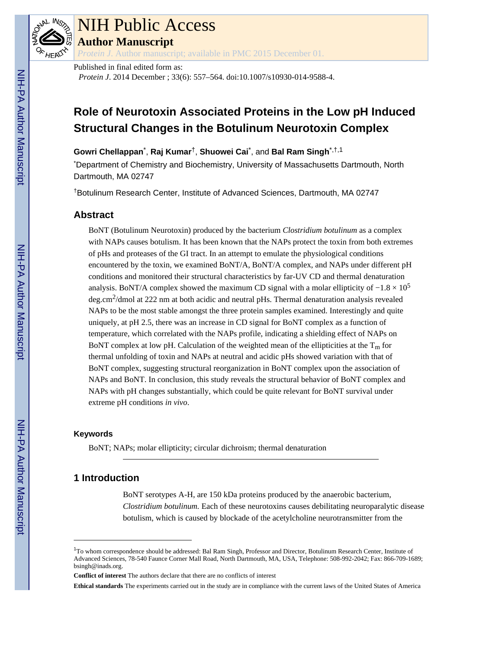

### NIH Public Access

**Author Manuscript**

*Protein J*. Author manuscript; available in PMC 2015 December 01.

Published in final edited form as:

*Protein J*. 2014 December ; 33(6): 557–564. doi:10.1007/s10930-014-9588-4.

### **Role of Neurotoxin Associated Proteins in the Low pH Induced Structural Changes in the Botulinum Neurotoxin Complex**

**Gowri Chellappan**\* , **Raj Kumar**†, **Shuowei Cai**\* , and **Bal Ram Singh**\*,†,1

\*Department of Chemistry and Biochemistry, University of Massachusetts Dartmouth, North Dartmouth, MA 02747

†Botulinum Research Center, Institute of Advanced Sciences, Dartmouth, MA 02747

#### **Abstract**

BoNT (Botulinum Neurotoxin) produced by the bacterium *Clostridium botulinum* as a complex with NAPs causes botulism. It has been known that the NAPs protect the toxin from both extremes of pHs and proteases of the GI tract. In an attempt to emulate the physiological conditions encountered by the toxin, we examined BoNT/A, BoNT/A complex, and NAPs under different pH conditions and monitored their structural characteristics by far-UV CD and thermal denaturation analysis. BoNT/A complex showed the maximum CD signal with a molar ellipticity of  $-1.8 \times 10^5$ deg.cm<sup>2</sup>/dmol at 222 nm at both acidic and neutral pHs. Thermal denaturation analysis revealed NAPs to be the most stable amongst the three protein samples examined. Interestingly and quite uniquely, at pH 2.5, there was an increase in CD signal for BoNT complex as a function of temperature, which correlated with the NAPs profile, indicating a shielding effect of NAPs on BoNT complex at low pH. Calculation of the weighted mean of the ellipticities at the  $T_m$  for thermal unfolding of toxin and NAPs at neutral and acidic pHs showed variation with that of BoNT complex, suggesting structural reorganization in BoNT complex upon the association of NAPs and BoNT. In conclusion, this study reveals the structural behavior of BoNT complex and NAPs with pH changes substantially, which could be quite relevant for BoNT survival under extreme pH conditions *in vivo*.

#### **Keywords**

BoNT; NAPs; molar ellipticity; circular dichroism; thermal denaturation

#### **1 Introduction**

BoNT serotypes A-H, are 150 kDa proteins produced by the anaerobic bacterium, *Clostridium botulinum.* Each of these neurotoxins causes debilitating neuroparalytic disease botulism, which is caused by blockade of the acetylcholine neurotransmitter from the

**Ethical standards** The experiments carried out in the study are in compliance with the current laws of the United States of America

<sup>1</sup>To whom correspondence should be addressed: Bal Ram Singh, Professor and Director, Botulinum Research Center, Institute of Advanced Sciences, 78-540 Faunce Corner Mall Road, North Dartmouth, MA, USA, Telephone: 508-992-2042; Fax: 866-709-1689; bsingh@inads.org.

**Conflict of interest** The authors declare that there are no conflicts of interest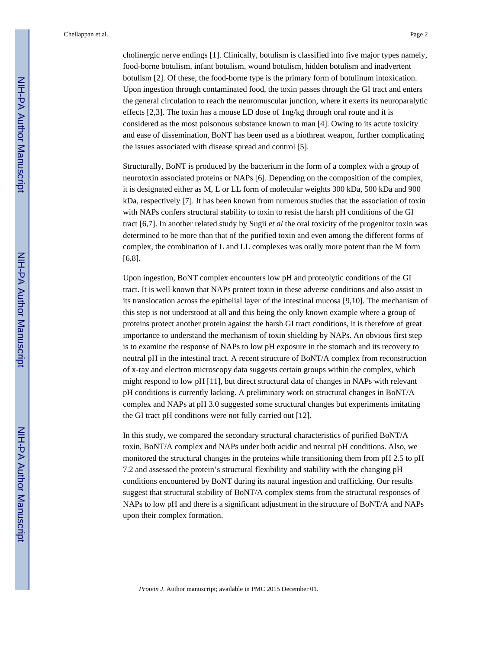cholinergic nerve endings [1]. Clinically, botulism is classified into five major types namely, food-borne botulism, infant botulism, wound botulism, hidden botulism and inadvertent botulism [2]. Of these, the food-borne type is the primary form of botulinum intoxication. Upon ingestion through contaminated food, the toxin passes through the GI tract and enters the general circulation to reach the neuromuscular junction, where it exerts its neuroparalytic effects [2,3]. The toxin has a mouse LD dose of 1ng/kg through oral route and it is considered as the most poisonous substance known to man [4]. Owing to its acute toxicity and ease of dissemination, BoNT has been used as a biothreat weapon, further complicating the issues associated with disease spread and control [5].

Structurally, BoNT is produced by the bacterium in the form of a complex with a group of neurotoxin associated proteins or NAPs [6]. Depending on the composition of the complex, it is designated either as M, L or LL form of molecular weights 300 kDa, 500 kDa and 900 kDa, respectively [7]. It has been known from numerous studies that the association of toxin with NAPs confers structural stability to toxin to resist the harsh pH conditions of the GI tract [6,7]. In another related study by Sugii *et al* the oral toxicity of the progenitor toxin was determined to be more than that of the purified toxin and even among the different forms of complex, the combination of L and LL complexes was orally more potent than the M form [6,8].

Upon ingestion, BoNT complex encounters low pH and proteolytic conditions of the GI tract. It is well known that NAPs protect toxin in these adverse conditions and also assist in its translocation across the epithelial layer of the intestinal mucosa [9,10]. The mechanism of this step is not understood at all and this being the only known example where a group of proteins protect another protein against the harsh GI tract conditions, it is therefore of great importance to understand the mechanism of toxin shielding by NAPs. An obvious first step is to examine the response of NAPs to low pH exposure in the stomach and its recovery to neutral pH in the intestinal tract. A recent structure of BoNT/A complex from reconstruction of x-ray and electron microscopy data suggests certain groups within the complex, which might respond to low pH [11], but direct structural data of changes in NAPs with relevant pH conditions is currently lacking. A preliminary work on structural changes in BoNT/A complex and NAPs at pH 3.0 suggested some structural changes but experiments imitating the GI tract pH conditions were not fully carried out [12].

In this study, we compared the secondary structural characteristics of purified BoNT/A toxin, BoNT/A complex and NAPs under both acidic and neutral pH conditions. Also, we monitored the structural changes in the proteins while transitioning them from pH 2.5 to pH 7.2 and assessed the protein's structural flexibility and stability with the changing pH conditions encountered by BoNT during its natural ingestion and trafficking. Our results suggest that structural stability of BoNT/A complex stems from the structural responses of NAPs to low pH and there is a significant adjustment in the structure of BoNT/A and NAPs upon their complex formation.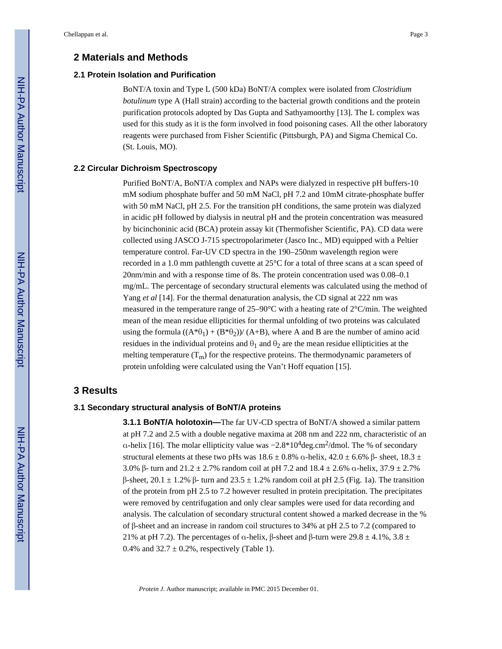#### **2 Materials and Methods**

#### **2.1 Protein Isolation and Purification**

BoNT/A toxin and Type L (500 kDa) BoNT/A complex were isolated from *Clostridium botulinum* type A (Hall strain) according to the bacterial growth conditions and the protein purification protocols adopted by Das Gupta and Sathyamoorthy [13]. The L complex was used for this study as it is the form involved in food poisoning cases. All the other laboratory reagents were purchased from Fisher Scientific (Pittsburgh, PA) and Sigma Chemical Co. (St. Louis, MO).

#### **2.2 Circular Dichroism Spectroscopy**

Purified BoNT/A, BoNT/A complex and NAPs were dialyzed in respective pH buffers-10 mM sodium phosphate buffer and 50 mM NaCl, pH 7.2 and 10mM citrate-phosphate buffer with 50 mM NaCl, pH 2.5. For the transition pH conditions, the same protein was dialyzed in acidic pH followed by dialysis in neutral pH and the protein concentration was measured by bicinchoninic acid (BCA) protein assay kit (Thermofisher Scientific, PA). CD data were collected using JASCO J-715 spectropolarimeter (Jasco Inc., MD) equipped with a Peltier temperature control. Far-UV CD spectra in the 190–250nm wavelength region were recorded in a 1.0 mm pathlength cuvette at 25°C for a total of three scans at a scan speed of 20nm/min and with a response time of 8s. The protein concentration used was 0.08–0.1 mg/mL. The percentage of secondary structural elements was calculated using the method of Yang *et al* [14]. For the thermal denaturation analysis, the CD signal at 222 nm was measured in the temperature range of 25–90°C with a heating rate of 2°C/min. The weighted mean of the mean residue ellipticities for thermal unfolding of two proteins was calculated using the formula  $((A^*\theta_1) + (B^*\theta_2))/((A+B))$ , where A and B are the number of amino acid residues in the individual proteins and  $\theta_1$  and  $\theta_2$  are the mean residue ellipticities at the melting temperature  $(T_m)$  for the respective proteins. The thermodynamic parameters of protein unfolding were calculated using the Van't Hoff equation [15].

#### **3 Results**

#### **3.1 Secondary structural analysis of BoNT/A proteins**

**3.1.1 BONT/A holotoxin—**The far UV-CD spectra of BoNT/A showed a similar pattern at pH 7.2 and 2.5 with a double negative maxima at 208 nm and 222 nm, characteristic of an a-helix [16]. The molar ellipticity value was  $-2.8*10<sup>4</sup>$ deg.cm<sup>2</sup>/dmol. The % of secondary structural elements at these two pHs was  $18.6 \pm 0.8\%$  α-helix,  $42.0 \pm 6.6\%$  β- sheet,  $18.3 \pm 0.6\%$ 3.0% β- turn and  $21.2 \pm 2.7$ % random coil at pH 7.2 and  $18.4 \pm 2.6$ % α-helix,  $37.9 \pm 2.7$ % β-sheet, 20.1 ± 1.2% β- turn and 23.5 ± 1.2% random coil at pH 2.5 (Fig. 1a). The transition of the protein from pH 2.5 to 7.2 however resulted in protein precipitation. The precipitates were removed by centrifugation and only clear samples were used for data recording and analysis. The calculation of secondary structural content showed a marked decrease in the % of β-sheet and an increase in random coil structures to 34% at pH 2.5 to 7.2 (compared to 21% at pH 7.2). The percentages of α-helix, β-sheet and β-turn were 29.8  $\pm$  4.1%, 3.8  $\pm$ 0.4% and  $32.7 \pm 0.2$ %, respectively (Table 1).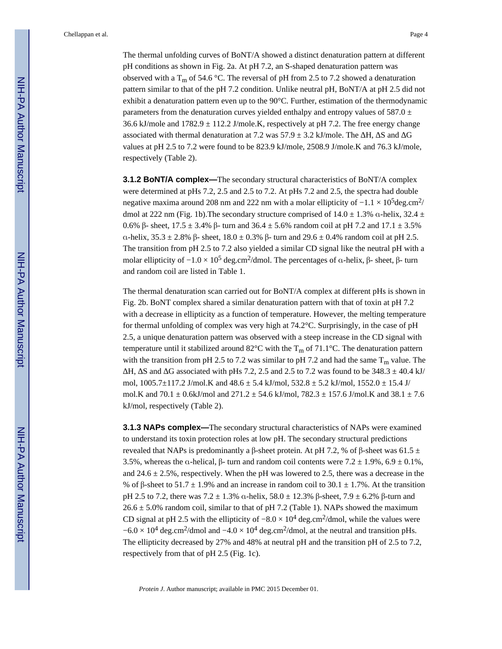The thermal unfolding curves of BoNT/A showed a distinct denaturation pattern at different pH conditions as shown in Fig. 2a. At pH 7.2, an S-shaped denaturation pattern was observed with a T<sub>m</sub> of 54.6 °C. The reversal of pH from 2.5 to 7.2 showed a denaturation pattern similar to that of the pH 7.2 condition. Unlike neutral pH, BoNT/A at pH 2.5 did not exhibit a denaturation pattern even up to the  $90^{\circ}$ C. Further, estimation of the thermodynamic parameters from the denaturation curves yielded enthalpy and entropy values of 587.0  $\pm$ 36.6 kJ/mole and  $1782.9 \pm 112.2$  J/mole.K, respectively at pH 7.2. The free energy change associated with thermal denaturation at 7.2 was  $57.9 \pm 3.2$  kJ/mole. The H, S and G values at pH 2.5 to 7.2 were found to be 823.9 kJ/mole, 2508.9 J/mole.K and 76.3 kJ/mole, respectively (Table 2).

**3.1.2 BoNT/A complex—**The secondary structural characteristics of BoNT/A complex were determined at pHs 7.2, 2.5 and 2.5 to 7.2. At pHs 7.2 and 2.5, the spectra had double negative maxima around 208 nm and 222 nm with a molar ellipticity of  $-1.1 \times 10^5$  deg.cm<sup>2</sup>/ dmol at 222 nm (Fig. 1b). The secondary structure comprised of 14.0  $\pm$  1.3%  $\alpha$ -helix, 32.4  $\pm$ 0.6% β- sheet,  $17.5 \pm 3.4$ % β- turn and  $36.4 \pm 5.6$ % random coil at pH 7.2 and  $17.1 \pm 3.5$ % α-helix, 35.3 ± 2.8% β- sheet, 18.0 ± 0.3% β- turn and 29.6 ± 0.4% random coil at pH 2.5. The transition from pH 2.5 to 7.2 also yielded a similar CD signal like the neutral pH with a molar ellipticity of  $-1.0 \times 10^5$  deg.cm<sup>2</sup>/dmol. The percentages of α-helix, β- sheet, β- turn and random coil are listed in Table 1.

The thermal denaturation scan carried out for BoNT/A complex at different pHs is shown in Fig. 2b. BoNT complex shared a similar denaturation pattern with that of toxin at pH 7.2 with a decrease in ellipticity as a function of temperature. However, the melting temperature for thermal unfolding of complex was very high at 74.2°C. Surprisingly, in the case of pH 2.5, a unique denaturation pattern was observed with a steep increase in the CD signal with temperature until it stabilized around  $82^{\circ}$ C with the T<sub>m</sub> of 71.1°C. The denaturation pattern with the transition from pH 2.5 to 7.2 was similar to pH 7.2 and had the same  $T_m$  value. The

H, S and G associated with pHs 7.2, 2.5 and 2.5 to 7.2 was found to be  $348.3 \pm 40.4$  kJ/ mol,  $1005.7 \pm 117.2$  J/mol.K and  $48.6 \pm 5.4$  kJ/mol,  $532.8 \pm 5.2$  kJ/mol,  $1552.0 \pm 15.4$  J/ mol.K and 70.1  $\pm$  0.6kJ/mol and 271.2  $\pm$  54.6 kJ/mol, 782.3  $\pm$  157.6 J/mol.K and 38.1  $\pm$  7.6 kJ/mol, respectively (Table 2).

**3.1.3 NAPs complex—**The secondary structural characteristics of NAPs were examined to understand its toxin protection roles at low pH. The secondary structural predictions revealed that NAPs is predominantly a β-sheet protein. At pH 7.2, % of β-sheet was 61.5  $\pm$ 3.5%, whereas the α-helical,  $\beta$ - turn and random coil contents were 7.2  $\pm$  1.9%, 6.9  $\pm$  0.1%, and 24.6  $\pm$  2.5%, respectively. When the pH was lowered to 2.5, there was a decrease in the % of β-sheet to 51.7  $\pm$  1.9% and an increase in random coil to 30.1  $\pm$  1.7%. At the transition pH 2.5 to 7.2, there was  $7.2 \pm 1.3\%$  α-helix,  $58.0 \pm 12.3\%$  β-sheet,  $7.9 \pm 6.2\%$  β-turn and  $26.6 \pm 5.0\%$  random coil, similar to that of pH 7.2 (Table 1). NAPs showed the maximum CD signal at pH 2.5 with the ellipticity of  $-8.0 \times 10^4$  deg.cm<sup>2</sup>/dmol, while the values were  $-6.0 \times 10^4$  deg.cm<sup>2</sup>/dmol and  $-4.0 \times 10^4$  deg.cm<sup>2</sup>/dmol, at the neutral and transition pHs. The ellipticity decreased by 27% and 48% at neutral pH and the transition pH of 2.5 to 7.2, respectively from that of pH 2.5 (Fig. 1c).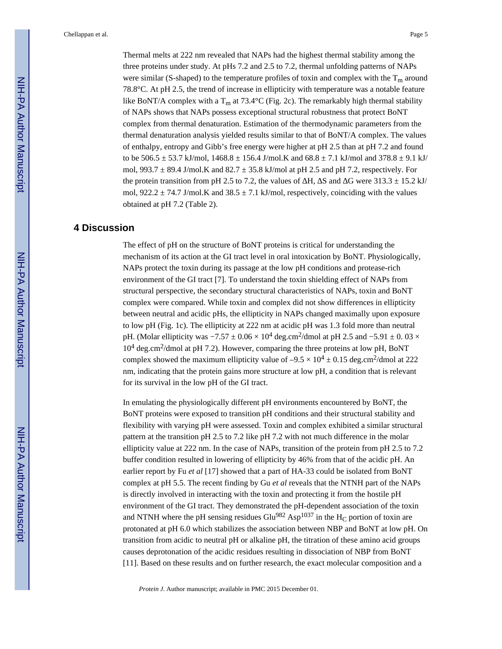Thermal melts at 222 nm revealed that NAPs had the highest thermal stability among the three proteins under study. At pHs 7.2 and 2.5 to 7.2, thermal unfolding patterns of NAPs were similar (S-shaped) to the temperature profiles of toxin and complex with the  $T_m$  around 78.8°C. At pH 2.5, the trend of increase in ellipticity with temperature was a notable feature like BoNT/A complex with a T<sub>m</sub> at 73.4°C (Fig. 2c). The remarkably high thermal stability of NAPs shows that NAPs possess exceptional structural robustness that protect BoNT complex from thermal denaturation. Estimation of the thermodynamic parameters from the thermal denaturation analysis yielded results similar to that of BoNT/A complex. The values of enthalpy, entropy and Gibb's free energy were higher at pH 2.5 than at pH 7.2 and found to be  $506.5 \pm 53.7$  kJ/mol,  $1468.8 \pm 156.4$  J/mol.K and  $68.8 \pm 7.1$  kJ/mol and  $378.8 \pm 9.1$  kJ/ mol, 993.7  $\pm$  89.4 J/mol.K and 82.7  $\pm$  35.8 kJ/mol at pH 2.5 and pH 7.2, respectively. For the protein transition from pH 2.5 to 7.2, the values of  $H$ , S and G were 313.3  $\pm$  15.2 kJ/ mol,  $922.2 \pm 74.7$  J/mol.K and  $38.5 \pm 7.1$  kJ/mol, respectively, coinciding with the values obtained at pH 7.2 (Table 2).

#### **4 Discussion**

The effect of pH on the structure of BoNT proteins is critical for understanding the mechanism of its action at the GI tract level in oral intoxication by BoNT. Physiologically, NAPs protect the toxin during its passage at the low pH conditions and protease-rich environment of the GI tract [7]. To understand the toxin shielding effect of NAPs from structural perspective, the secondary structural characteristics of NAPs, toxin and BoNT complex were compared. While toxin and complex did not show differences in ellipticity between neutral and acidic pHs, the ellipticity in NAPs changed maximally upon exposure to low pH (Fig. 1c). The ellipticity at 222 nm at acidic pH was 1.3 fold more than neutral pH. (Molar ellipticity was  $-7.57 \pm 0.06 \times 10^4$  deg.cm<sup>2</sup>/dmol at pH 2.5 and  $-5.91 \pm 0.03 \times$ 10<sup>4</sup> deg.cm<sup>2</sup>/dmol at pH 7.2). However, comparing the three proteins at low pH, BoNT complex showed the maximum ellipticity value of  $-9.5 \times 10^4 \pm 0.15$  deg.cm<sup>2</sup>/dmol at 222 nm, indicating that the protein gains more structure at low pH, a condition that is relevant for its survival in the low pH of the GI tract.

In emulating the physiologically different pH environments encountered by BoNT, the BoNT proteins were exposed to transition pH conditions and their structural stability and flexibility with varying pH were assessed. Toxin and complex exhibited a similar structural pattern at the transition pH 2.5 to 7.2 like pH 7.2 with not much difference in the molar ellipticity value at 222 nm. In the case of NAPs, transition of the protein from pH 2.5 to 7.2 buffer condition resulted in lowering of ellipticity by 46% from that of the acidic pH. An earlier report by Fu *et al* [17] showed that a part of HA-33 could be isolated from BoNT complex at pH 5.5. The recent finding by Gu *et al* reveals that the NTNH part of the NAPs is directly involved in interacting with the toxin and protecting it from the hostile pH environment of the GI tract. They demonstrated the pH-dependent association of the toxin and NTNH where the pH sensing residues  $Glu^{982}$  Asp<sup>1037</sup> in the H<sub>C</sub> portion of toxin are protonated at pH 6.0 which stabilizes the association between NBP and BoNT at low pH. On transition from acidic to neutral pH or alkaline pH, the titration of these amino acid groups causes deprotonation of the acidic residues resulting in dissociation of NBP from BoNT [11]. Based on these results and on further research, the exact molecular composition and a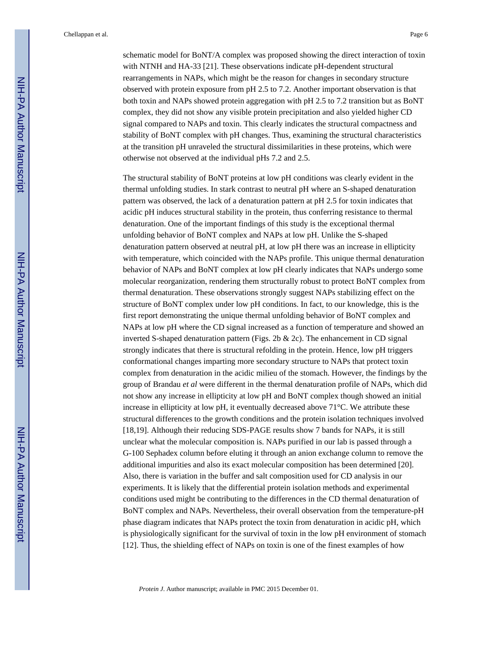schematic model for BoNT/A complex was proposed showing the direct interaction of toxin with NTNH and HA-33 [21]. These observations indicate pH-dependent structural rearrangements in NAPs, which might be the reason for changes in secondary structure observed with protein exposure from pH 2.5 to 7.2. Another important observation is that both toxin and NAPs showed protein aggregation with pH 2.5 to 7.2 transition but as BoNT complex, they did not show any visible protein precipitation and also yielded higher CD signal compared to NAPs and toxin. This clearly indicates the structural compactness and stability of BoNT complex with pH changes. Thus, examining the structural characteristics at the transition pH unraveled the structural dissimilarities in these proteins, which were otherwise not observed at the individual pHs 7.2 and 2.5.

The structural stability of BoNT proteins at low pH conditions was clearly evident in the thermal unfolding studies. In stark contrast to neutral pH where an S-shaped denaturation pattern was observed, the lack of a denaturation pattern at pH 2.5 for toxin indicates that acidic pH induces structural stability in the protein, thus conferring resistance to thermal denaturation. One of the important findings of this study is the exceptional thermal unfolding behavior of BoNT complex and NAPs at low pH. Unlike the S-shaped denaturation pattern observed at neutral pH, at low pH there was an increase in ellipticity with temperature, which coincided with the NAPs profile. This unique thermal denaturation behavior of NAPs and BoNT complex at low pH clearly indicates that NAPs undergo some molecular reorganization, rendering them structurally robust to protect BoNT complex from thermal denaturation. These observations strongly suggest NAPs stabilizing effect on the structure of BoNT complex under low pH conditions. In fact, to our knowledge, this is the first report demonstrating the unique thermal unfolding behavior of BoNT complex and NAPs at low pH where the CD signal increased as a function of temperature and showed an inverted S-shaped denaturation pattern (Figs. 2b & 2c). The enhancement in CD signal strongly indicates that there is structural refolding in the protein. Hence, low pH triggers conformational changes imparting more secondary structure to NAPs that protect toxin complex from denaturation in the acidic milieu of the stomach. However, the findings by the group of Brandau *et al* were different in the thermal denaturation profile of NAPs, which did not show any increase in ellipticity at low pH and BoNT complex though showed an initial increase in ellipticity at low pH, it eventually decreased above  $71^{\circ}$ C. We attribute these structural differences to the growth conditions and the protein isolation techniques involved [18,19]. Although their reducing SDS-PAGE results show 7 bands for NAPs, it is still unclear what the molecular composition is. NAPs purified in our lab is passed through a G-100 Sephadex column before eluting it through an anion exchange column to remove the additional impurities and also its exact molecular composition has been determined [20]. Also, there is variation in the buffer and salt composition used for CD analysis in our experiments. It is likely that the differential protein isolation methods and experimental conditions used might be contributing to the differences in the CD thermal denaturation of BoNT complex and NAPs. Nevertheless, their overall observation from the temperature-pH phase diagram indicates that NAPs protect the toxin from denaturation in acidic pH, which is physiologically significant for the survival of toxin in the low pH environment of stomach [12]. Thus, the shielding effect of NAPs on toxin is one of the finest examples of how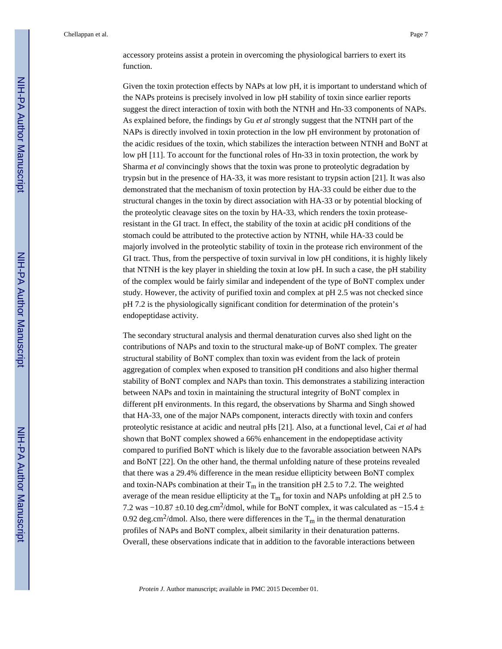Given the toxin protection effects by NAPs at low pH, it is important to understand which of the NAPs proteins is precisely involved in low pH stability of toxin since earlier reports suggest the direct interaction of toxin with both the NTNH and Hn-33 components of NAPs. As explained before, the findings by Gu *et al* strongly suggest that the NTNH part of the NAPs is directly involved in toxin protection in the low pH environment by protonation of the acidic residues of the toxin, which stabilizes the interaction between NTNH and BoNT at low pH [11]. To account for the functional roles of Hn-33 in toxin protection, the work by Sharma *et al* convincingly shows that the toxin was prone to proteolytic degradation by trypsin but in the presence of HA-33, it was more resistant to trypsin action [21]. It was also demonstrated that the mechanism of toxin protection by HA-33 could be either due to the structural changes in the toxin by direct association with HA-33 or by potential blocking of the proteolytic cleavage sites on the toxin by HA-33, which renders the toxin proteaseresistant in the GI tract. In effect, the stability of the toxin at acidic pH conditions of the stomach could be attributed to the protective action by NTNH, while HA-33 could be majorly involved in the proteolytic stability of toxin in the protease rich environment of the GI tract. Thus, from the perspective of toxin survival in low pH conditions, it is highly likely that NTNH is the key player in shielding the toxin at low pH. In such a case, the pH stability of the complex would be fairly similar and independent of the type of BoNT complex under study. However, the activity of purified toxin and complex at pH 2.5 was not checked since pH 7.2 is the physiologically significant condition for determination of the protein's endopeptidase activity.

The secondary structural analysis and thermal denaturation curves also shed light on the contributions of NAPs and toxin to the structural make-up of BoNT complex. The greater structural stability of BoNT complex than toxin was evident from the lack of protein aggregation of complex when exposed to transition pH conditions and also higher thermal stability of BoNT complex and NAPs than toxin. This demonstrates a stabilizing interaction between NAPs and toxin in maintaining the structural integrity of BoNT complex in different pH environments. In this regard, the observations by Sharma and Singh showed that HA-33, one of the major NAPs component, interacts directly with toxin and confers proteolytic resistance at acidic and neutral pHs [21]. Also, at a functional level, Cai *et al* had shown that BoNT complex showed a 66% enhancement in the endopeptidase activity compared to purified BoNT which is likely due to the favorable association between NAPs and BoNT [22]. On the other hand, the thermal unfolding nature of these proteins revealed that there was a 29.4% difference in the mean residue ellipticity between BoNT complex and toxin-NAPs combination at their  $T_m$  in the transition pH 2.5 to 7.2. The weighted average of the mean residue ellipticity at the  $T_m$  for toxin and NAPs unfolding at pH 2.5 to 7.2 was −10.87 ±0.10 deg.cm<sup>2</sup>/dmol, while for BoNT complex, it was calculated as −15.4 ± 0.92 deg.cm<sup>2</sup>/dmol. Also, there were differences in the  $T_m$  in the thermal denaturation profiles of NAPs and BoNT complex, albeit similarity in their denaturation patterns. Overall, these observations indicate that in addition to the favorable interactions between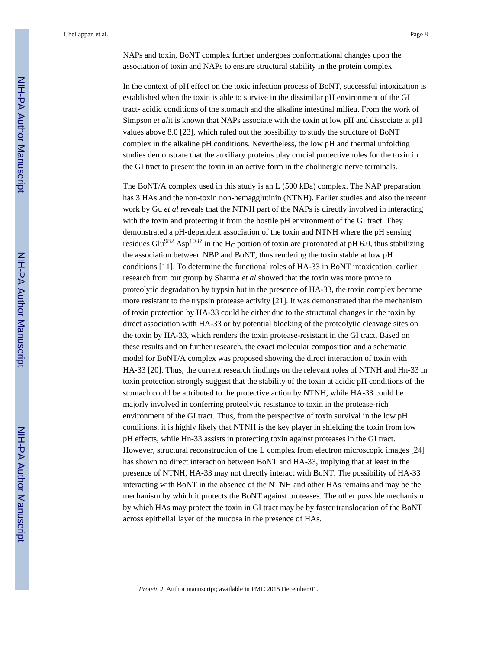NAPs and toxin, BoNT complex further undergoes conformational changes upon the association of toxin and NAPs to ensure structural stability in the protein complex.

In the context of pH effect on the toxic infection process of BoNT, successful intoxication is established when the toxin is able to survive in the dissimilar pH environment of the GI tract- acidic conditions of the stomach and the alkaline intestinal milieu. From the work of Simpson *et al*it is known that NAPs associate with the toxin at low pH and dissociate at pH values above 8.0 [23], which ruled out the possibility to study the structure of BoNT complex in the alkaline pH conditions. Nevertheless, the low pH and thermal unfolding studies demonstrate that the auxiliary proteins play crucial protective roles for the toxin in the GI tract to present the toxin in an active form in the cholinergic nerve terminals.

The BoNT/A complex used in this study is an L (500 kDa) complex. The NAP preparation has 3 HAs and the non-toxin non-hemagglutinin (NTNH). Earlier studies and also the recent work by Gu *et al* reveals that the NTNH part of the NAPs is directly involved in interacting with the toxin and protecting it from the hostile pH environment of the GI tract. They demonstrated a pH-dependent association of the toxin and NTNH where the pH sensing residues Glu<sup>982</sup> Asp<sup>1037</sup> in the H<sub>C</sub> portion of toxin are protonated at pH 6.0, thus stabilizing the association between NBP and BoNT, thus rendering the toxin stable at low pH conditions [11]. To determine the functional roles of HA-33 in BoNT intoxication, earlier research from our group by Sharma *et al* showed that the toxin was more prone to proteolytic degradation by trypsin but in the presence of HA-33, the toxin complex became more resistant to the trypsin protease activity [21]. It was demonstrated that the mechanism of toxin protection by HA-33 could be either due to the structural changes in the toxin by direct association with HA-33 or by potential blocking of the proteolytic cleavage sites on the toxin by HA-33, which renders the toxin protease-resistant in the GI tract. Based on these results and on further research, the exact molecular composition and a schematic model for BoNT/A complex was proposed showing the direct interaction of toxin with HA-33 [20]. Thus, the current research findings on the relevant roles of NTNH and Hn-33 in toxin protection strongly suggest that the stability of the toxin at acidic pH conditions of the stomach could be attributed to the protective action by NTNH, while HA-33 could be majorly involved in conferring proteolytic resistance to toxin in the protease-rich environment of the GI tract. Thus, from the perspective of toxin survival in the low pH conditions, it is highly likely that NTNH is the key player in shielding the toxin from low pH effects, while Hn-33 assists in protecting toxin against proteases in the GI tract. However, structural reconstruction of the L complex from electron microscopic images [24] has shown no direct interaction between BoNT and HA-33, implying that at least in the presence of NTNH, HA-33 may not directly interact with BoNT. The possibility of HA-33 interacting with BoNT in the absence of the NTNH and other HAs remains and may be the mechanism by which it protects the BoNT against proteases. The other possible mechanism by which HAs may protect the toxin in GI tract may be by faster translocation of the BoNT across epithelial layer of the mucosa in the presence of HAs.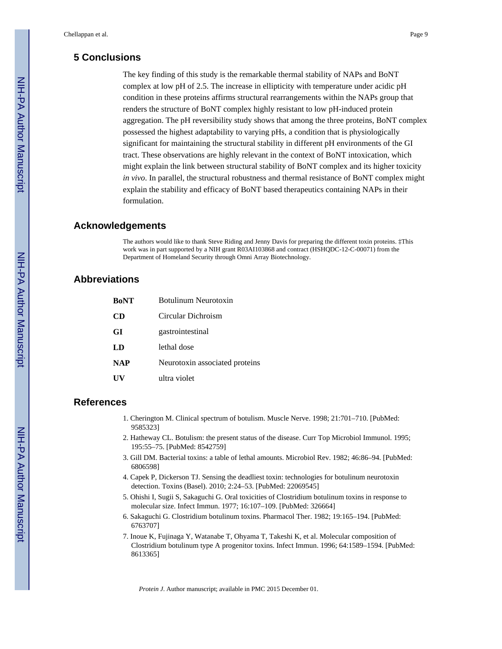#### **5 Conclusions**

The key finding of this study is the remarkable thermal stability of NAPs and BoNT complex at low pH of 2.5. The increase in ellipticity with temperature under acidic pH condition in these proteins affirms structural rearrangements within the NAPs group that renders the structure of BoNT complex highly resistant to low pH-induced protein aggregation. The pH reversibility study shows that among the three proteins, BoNT complex possessed the highest adaptability to varying pHs, a condition that is physiologically significant for maintaining the structural stability in different pH environments of the GI tract. These observations are highly relevant in the context of BoNT intoxication, which might explain the link between structural stability of BoNT complex and its higher toxicity *in vivo*. In parallel, the structural robustness and thermal resistance of BoNT complex might explain the stability and efficacy of BoNT based therapeutics containing NAPs in their formulation.

#### **Acknowledgements**

The authors would like to thank Steve Riding and Jenny Davis for preparing the different toxin proteins. ‡This work was in part supported by a NIH grant R03AI103868 and contract (HSHQDC-12-C-00071) from the Department of Homeland Security through Omni Array Biotechnology.

#### **Abbreviations**

| <b>BoNT</b> | Botulinum Neurotoxin           |
|-------------|--------------------------------|
| CD          | Circular Dichroism             |
| GI          | gastrointestinal               |
| LD          | lethal dose                    |
| <b>NAP</b>  | Neurotoxin associated proteins |
|             | ultra violet                   |

#### **References**

- 1. Cherington M. Clinical spectrum of botulism. Muscle Nerve. 1998; 21:701–710. [PubMed: 9585323]
- 2. Hatheway CL. Botulism: the present status of the disease. Curr Top Microbiol Immunol. 1995; 195:55–75. [PubMed: 8542759]
- 3. Gill DM. Bacterial toxins: a table of lethal amounts. Microbiol Rev. 1982; 46:86–94. [PubMed: 6806598]
- 4. Capek P, Dickerson TJ. Sensing the deadliest toxin: technologies for botulinum neurotoxin detection. Toxins (Basel). 2010; 2:24–53. [PubMed: 22069545]
- 5. Ohishi I, Sugii S, Sakaguchi G. Oral toxicities of Clostridium botulinum toxins in response to molecular size. Infect Immun. 1977; 16:107–109. [PubMed: 326664]
- 6. Sakaguchi G. Clostridium botulinum toxins. Pharmacol Ther. 1982; 19:165–194. [PubMed: 6763707]
- 7. Inoue K, Fujinaga Y, Watanabe T, Ohyama T, Takeshi K, et al. Molecular composition of Clostridium botulinum type A progenitor toxins. Infect Immun. 1996; 64:1589–1594. [PubMed: 8613365]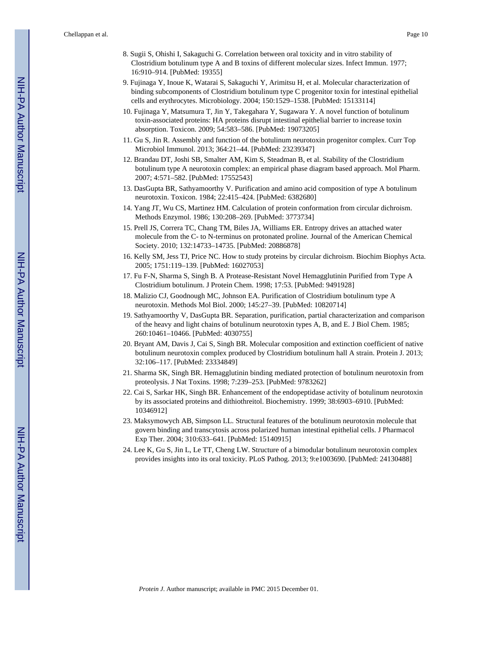- 8. Sugii S, Ohishi I, Sakaguchi G. Correlation between oral toxicity and in vitro stability of Clostridium botulinum type A and B toxins of different molecular sizes. Infect Immun. 1977; 16:910–914. [PubMed: 19355]
- 9. Fujinaga Y, Inoue K, Watarai S, Sakaguchi Y, Arimitsu H, et al. Molecular characterization of binding subcomponents of Clostridium botulinum type C progenitor toxin for intestinal epithelial cells and erythrocytes. Microbiology. 2004; 150:1529–1538. [PubMed: 15133114]
- 10. Fujinaga Y, Matsumura T, Jin Y, Takegahara Y, Sugawara Y. A novel function of botulinum toxin-associated proteins: HA proteins disrupt intestinal epithelial barrier to increase toxin absorption. Toxicon. 2009; 54:583–586. [PubMed: 19073205]
- 11. Gu S, Jin R. Assembly and function of the botulinum neurotoxin progenitor complex. Curr Top Microbiol Immunol. 2013; 364:21–44. [PubMed: 23239347]
- 12. Brandau DT, Joshi SB, Smalter AM, Kim S, Steadman B, et al. Stability of the Clostridium botulinum type A neurotoxin complex: an empirical phase diagram based approach. Mol Pharm. 2007; 4:571–582. [PubMed: 17552543]
- 13. DasGupta BR, Sathyamoorthy V. Purification and amino acid composition of type A botulinum neurotoxin. Toxicon. 1984; 22:415–424. [PubMed: 6382680]
- 14. Yang JT, Wu CS, Martinez HM. Calculation of protein conformation from circular dichroism. Methods Enzymol. 1986; 130:208–269. [PubMed: 3773734]
- 15. Prell JS, Correra TC, Chang TM, Biles JA, Williams ER. Entropy drives an attached water molecule from the C- to N-terminus on protonated proline. Journal of the American Chemical Society. 2010; 132:14733–14735. [PubMed: 20886878]
- 16. Kelly SM, Jess TJ, Price NC. How to study proteins by circular dichroism. Biochim Biophys Acta. 2005; 1751:119–139. [PubMed: 16027053]
- 17. Fu F-N, Sharma S, Singh B. A Protease-Resistant Novel Hemagglutinin Purified from Type A Clostridium botulinum. J Protein Chem. 1998; 17:53. [PubMed: 9491928]
- 18. Malizio CJ, Goodnough MC, Johnson EA. Purification of Clostridium botulinum type A neurotoxin. Methods Mol Biol. 2000; 145:27–39. [PubMed: 10820714]
- 19. Sathyamoorthy V, DasGupta BR. Separation, purification, partial characterization and comparison of the heavy and light chains of botulinum neurotoxin types A, B, and E. J Biol Chem. 1985; 260:10461–10466. [PubMed: 4030755]
- 20. Bryant AM, Davis J, Cai S, Singh BR. Molecular composition and extinction coefficient of native botulinum neurotoxin complex produced by Clostridium botulinum hall A strain. Protein J. 2013; 32:106–117. [PubMed: 23334849]
- 21. Sharma SK, Singh BR. Hemagglutinin binding mediated protection of botulinum neurotoxin from proteolysis. J Nat Toxins. 1998; 7:239–253. [PubMed: 9783262]
- 22. Cai S, Sarkar HK, Singh BR. Enhancement of the endopeptidase activity of botulinum neurotoxin by its associated proteins and dithiothreitol. Biochemistry. 1999; 38:6903–6910. [PubMed: 10346912]
- 23. Maksymowych AB, Simpson LL. Structural features of the botulinum neurotoxin molecule that govern binding and transcytosis across polarized human intestinal epithelial cells. J Pharmacol Exp Ther. 2004; 310:633–641. [PubMed: 15140915]
- 24. Lee K, Gu S, Jin L, Le TT, Cheng LW. Structure of a bimodular botulinum neurotoxin complex provides insights into its oral toxicity. PLoS Pathog. 2013; 9:e1003690. [PubMed: 24130488]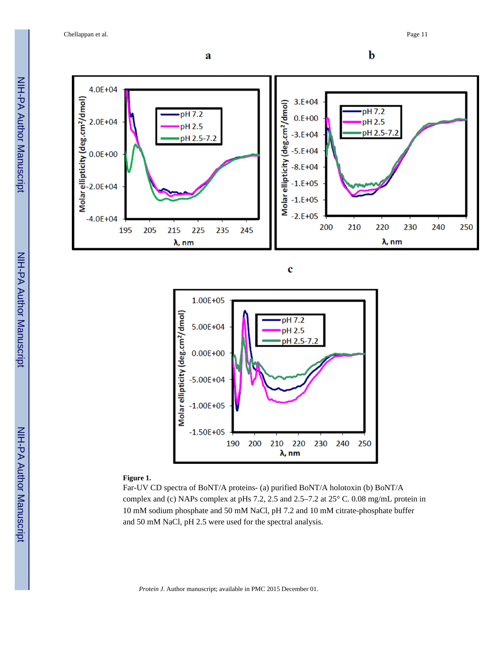





#### **Figure 1.**

Far-UV CD spectra of BoNT/A proteins- (a) purified BoNT/A holotoxin (b) BoNT/A complex and (c) NAPs complex at pHs 7.2, 2.5 and 2.5–7.2 at 25° C. 0.08 mg/mL protein in 10 mM sodium phosphate and 50 mM NaCl, pH 7.2 and 10 mM citrate-phosphate buffer and 50 mM NaCl, pH 2.5 were used for the spectral analysis.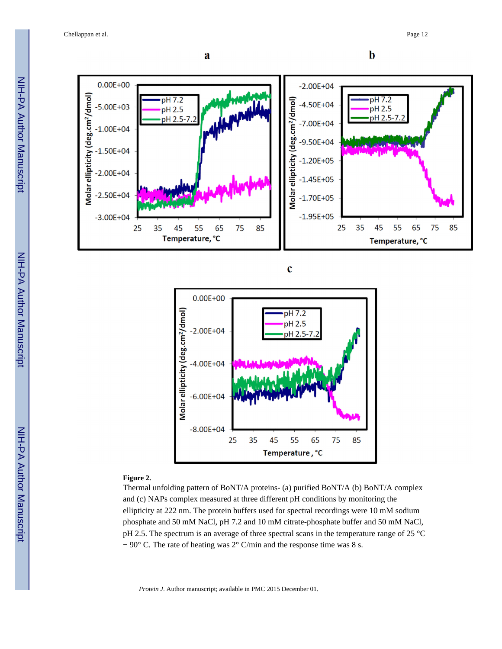Chellappan et al. Page 12







#### **Figure 2.**

Thermal unfolding pattern of BoNT/A proteins- (a) purified BoNT/A (b) BoNT/A complex and (c) NAPs complex measured at three different pH conditions by monitoring the ellipticity at 222 nm. The protein buffers used for spectral recordings were 10 mM sodium phosphate and 50 mM NaCl, pH 7.2 and 10 mM citrate-phosphate buffer and 50 mM NaCl, pH 2.5. The spectrum is an average of three spectral scans in the temperature range of 25 °C − 90° C. The rate of heating was 2° C/min and the response time was 8 s.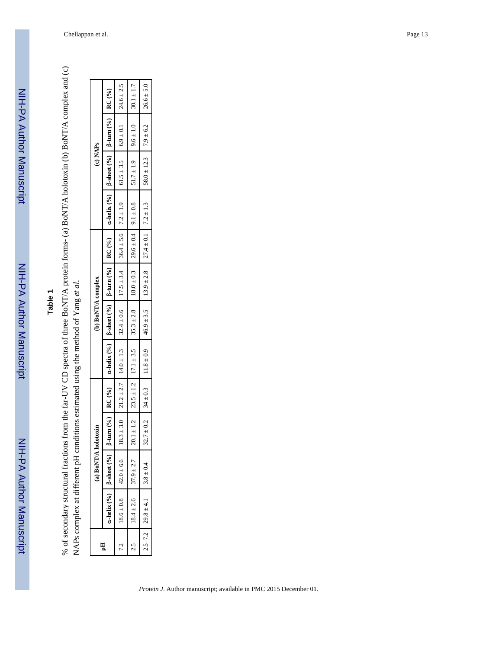NIH-PA Author Manuscript

NIH-PA Author Manuscript

# **Table 1**

% of secondary structural fractions from the far-UV CD spectra of three BoNT/A protein forms- (a) BoNT/A holotoxin (b) BoNT/A complex and (c) % of secondary structural fractions from the far-UV CD spectra of three BoNT/A protein forms- (a) BoNT/A holotoxin (b) BoNT/A complex and (c) NAPs complex at different pH conditions estimated using the method of Yang et al. NAPs complex at different pH conditions estimated using the method of Yang *et al*.

|   |                                        | (a) $BoNT/A$ 1                      | nolotoxin |                                              |                                              | (b) BoNT/A complex                                                                                                                                    |  | (c) NAPs                                    |                 |
|---|----------------------------------------|-------------------------------------|-----------|----------------------------------------------|----------------------------------------------|-------------------------------------------------------------------------------------------------------------------------------------------------------|--|---------------------------------------------|-----------------|
| ョ |                                        | $a$ -helix (%)   $\beta$ -sheet (%) |           |                                              |                                              | $\beta$ -turn (%)   RC (%)   $\alpha$ -helix (%)   $\beta$ -turn (%)   RC (%)   $\alpha$ -helix (%)   $\beta$ -sheet (%)   $\beta$ -turn (%)   RC (%) |  |                                             |                 |
|   | $18.6 \pm 0.8$   42.0 $\pm 6.6$        |                                     |           |                                              | $18.3 \pm 3.0$ $21.2 \pm 2.7$ $14.0 \pm 1.3$ | $\begin{bmatrix} 32.4 \pm 0.6 \\ 17.5 \pm 3.4 \end{bmatrix}$ $36.4 \pm 5.6$ 7.2 $\pm$ 1.9                                                             |  | $61.5 \pm 3.5$ $6.9 \pm 0.1$                | $ 24.6 \pm 2.5$ |
|   | 2.5 $18.4 \pm 2.6$ $37.9 \pm 2.7$      |                                     |           | $20.1 \pm 1.2$ $23.5 \pm 1.2$ $17.1 \pm 3.5$ |                                              | $35.3 \pm 2.8$ $18.0 \pm 0.3$ $29.6 \pm 0.4$ $9.1 \pm 0.8$                                                                                            |  | $ 51.7 \pm 1.9 $ 9.6 $\pm 1.0$              | $ 30.1 \pm 1.7$ |
|   | $2.5-7.2$ $29.8 \pm 4.1$ $3.8 \pm 0.4$ |                                     |           |                                              |                                              | $32.7 \pm 0.2$ 34 $\pm 0.3$ 11.8 $\pm 0.9$ 46.9 $\pm 3.5$ 13.9 $\pm 2.8$ 2.4 $\pm 0.1$ 7.2 $\pm 1.3$                                                  |  | $58.0 \pm 12.3$ $\qquad \qquad 7.9 \pm 6.2$ | $126.6 \pm 5.0$ |
|   |                                        |                                     |           |                                              |                                              |                                                                                                                                                       |  |                                             |                 |